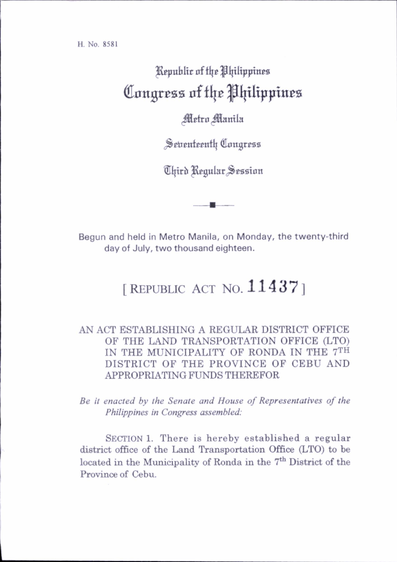## Kepublic of the Philippines Congress of the Philippines

## *Metro Manila*

Settenteenth Congress

Third Regular Session

Begun and held in Metro Manila, on Monday, the twenty-third day of July, two thousand eighteen.

## [REPUBLIC ACT NO.  $11437$ ]

## AN ACT ESTABLISHING A REGULAR DISTRICT OFFICE OF THE LAND TRANSPORTATION OFFICE (LTO) IN THE MUNICIPALITY OF RONDA IN THE 7th DISTRICT OF THE PROVINCE OF CEBU AND APPROPRIATING FUNDS THEREFOR

Be it enacted by the Senate and House of Representatives of the Philippines in Congress assembled:

SECTION 1. There is hereby established a regular district office of the Land Transportation Office (LTO) to be located in the Municipality of Ronda in the 7<sup>th</sup> District of the Province of Cebu.